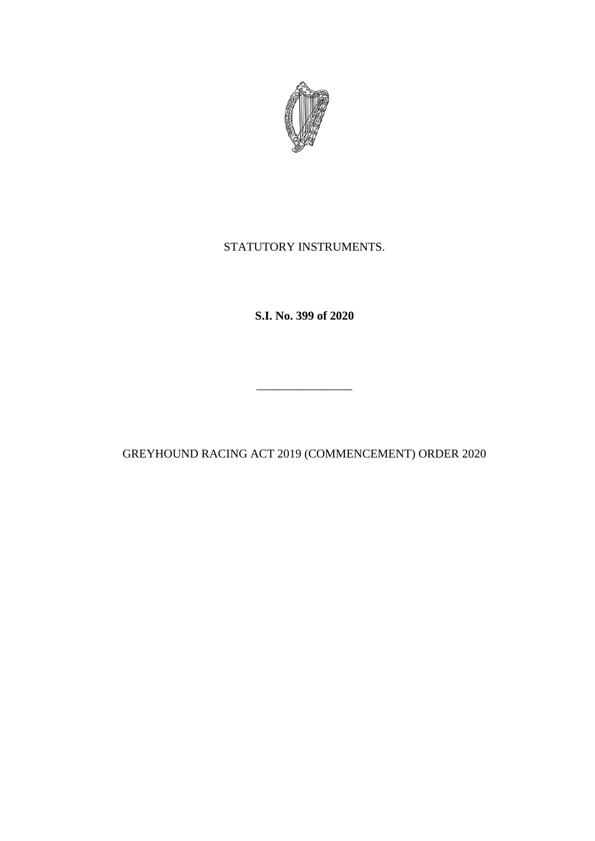

## STATUTORY INSTRUMENTS.

**S.I. No. 399 of 2020**

GREYHOUND RACING ACT 2019 (COMMENCEMENT) ORDER 2020

\_\_\_\_\_\_\_\_\_\_\_\_\_\_\_\_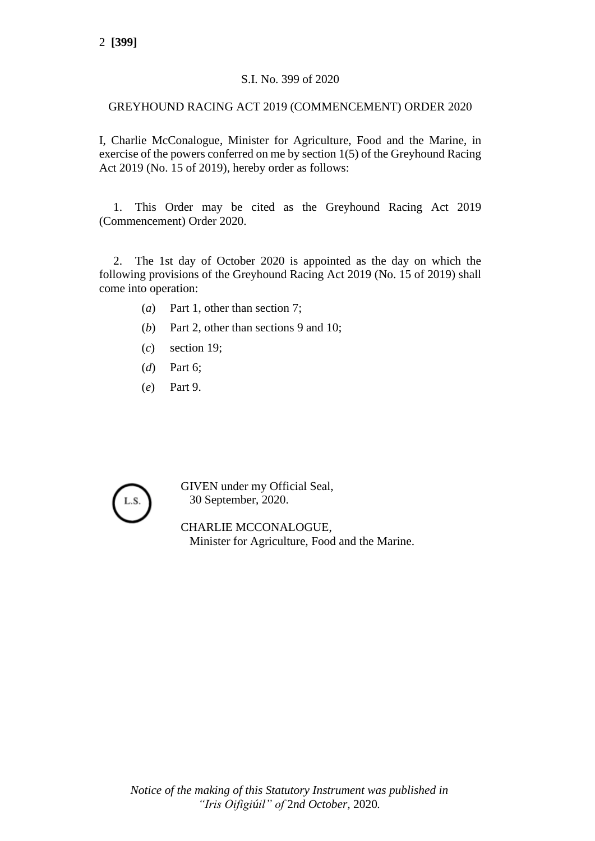## S.I. No. 399 of 2020

## GREYHOUND RACING ACT 2019 (COMMENCEMENT) ORDER 2020

I, Charlie McConalogue, Minister for Agriculture, Food and the Marine, in exercise of the powers conferred on me by section 1(5) of the Greyhound Racing Act 2019 (No. 15 of 2019), hereby order as follows:

1. This Order may be cited as the Greyhound Racing Act 2019 (Commencement) Order 2020.

2. The 1st day of October 2020 is appointed as the day on which the following provisions of the Greyhound Racing Act 2019 (No. 15 of 2019) shall come into operation:

- (*a*) Part 1, other than section 7;
- (*b*) Part 2, other than sections 9 and 10;
- (*c*) section 19;
- (*d*) Part 6;
- (*e*) Part 9.



GIVEN under my Official Seal, 30 September, 2020.

CHARLIE MCCONALOGUE, Minister for Agriculture, Food and the Marine.